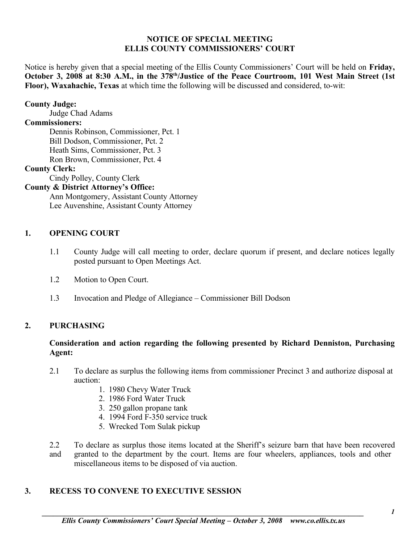### **NOTICE OF SPECIAL MEETING ELLIS COUNTY COMMISSIONERS' COURT**

Notice is hereby given that a special meeting of the Ellis County Commissioners' Court will be held on **Friday, October 3, 2008 at 8:30 A.M., in the 378th/Justice of the Peace Courtroom, 101 West Main Street (1st Floor), Waxahachie, Texas** at which time the following will be discussed and considered, to-wit:

## **County Judge:**

Judge Chad Adams

# **Commissioners:**

Dennis Robinson, Commissioner, Pct. 1 Bill Dodson, Commissioner, Pct. 2 Heath Sims, Commissioner, Pct. 3 Ron Brown, Commissioner, Pct. 4

# **County Clerk:**

Cindy Polley, County Clerk

### **County & District Attorney's Office:**

Ann Montgomery, Assistant County Attorney Lee Auvenshine, Assistant County Attorney

#### **1. OPENING COURT**

- 1.1 County Judge will call meeting to order, declare quorum if present, and declare notices legally posted pursuant to Open Meetings Act.
- 1.2 Motion to Open Court.
- 1.3 Invocation and Pledge of Allegiance Commissioner Bill Dodson

## **2. PURCHASING**

### **Consideration and action regarding the following presented by Richard Denniston, Purchasing Agent:**

- 2.1 To declare as surplus the following items from commissioner Precinct 3 and authorize disposal at auction:
	- 1. 1980 Chevy Water Truck
	- 2. 1986 Ford Water Truck
	- 3. 250 gallon propane tank
	- 4. 1994 Ford F-350 service truck
	- 5. Wrecked Tom Sulak pickup
- 2.2 To declare as surplus those items located at the Sheriff's seizure barn that have been recovered and granted to the department by the court. Items are four wheelers, appliances, tools and other miscellaneous items to be disposed of via auction.

## **3. RECESS TO CONVENE TO EXECUTIVE SESSION**